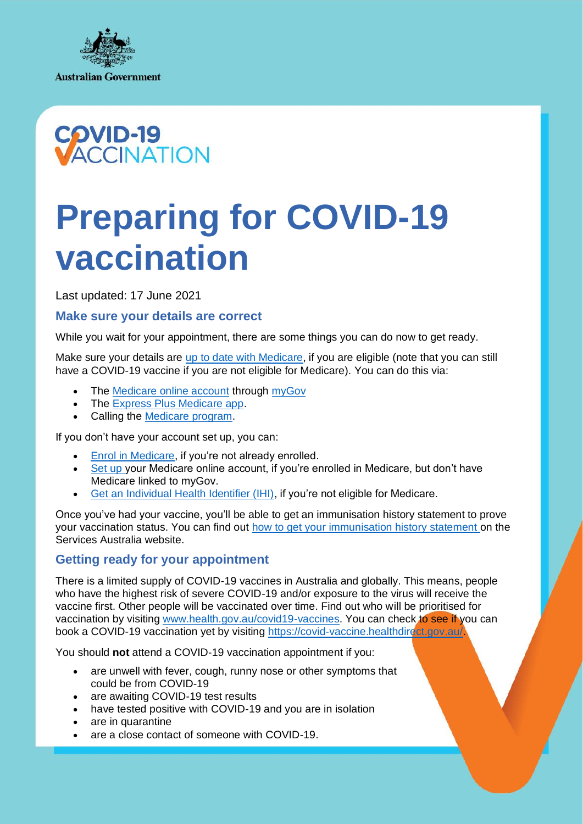



# **Preparing for COVID-19 vaccination**

Last updated: 17 June 2021

## **Make sure your details are correct**

While you wait for your appointment, there are some things you can do now to get ready.

Make sure your details are [up to date with Medicare,](https://www.servicesaustralia.gov.au/individuals/subjects/how-your-medicare-card-and-account-work/update-your-personal-details-medicare) if you are eligible (note that you can still have a COVID-19 vaccine if you are not eligible for Medicare). You can do this via:

- The [Medicare online account](https://www.servicesaustralia.gov.au/individuals/services/medicare/medicare-online-accounts) through [myGov](https://my.gov.au/LoginServices/main/login?execution=e2s1)
- The [Express Plus Medicare app.](https://www.servicesaustralia.gov.au/individuals/services/medicare/express-plus-medicare-mobile-app)
- Calling the [Medicare program.](https://www.servicesaustralia.gov.au/individuals/contact-us/phone-us#medicaregeneral)

If you don't have your account set up, you can:

- [Enrol in Medicare,](https://www.servicesaustralia.gov.au/individuals/subjects/how-enrol-and-get-started-medicare/enrolling-medicare) if you're not already enrolled.
- [Set up](https://www.servicesaustralia.gov.au/individuals/subjects/how-enrol-and-get-started-medicare/setting-your-medicare-online-account) your Medicare online account, if you're enrolled in Medicare, but don't have Medicare linked to myGov.
- [Get an Individual Health Identifier \(IHI\),](https://www.servicesaustralia.gov.au/individuals/services/medicare/individual-healthcare-identifiers/how-get-ihi) if you're not eligible for Medicare.

Once you've had your vaccine, you'll be able to get an immunisation history statement to prove your vaccination status. You can find out [how to get your immunisation history statement](https://www.servicesaustralia.gov.au/individuals/services/medicare/australian-immunisation-register/how-get-immunisation-history-statement) on the Services Australia website.

#### **Getting ready for your appointment**

There is a limited supply of COVID-19 vaccines in Australia and globally. This means, people who have the highest risk of severe COVID-19 and/or exposure to the virus will receive the vaccine first. Other people will be vaccinated over time. Find out who will be prioritised for vaccination by visiting [www.health.gov.au/covid19-vaccines.](http://www.health.gov.au/covid19-vaccines) You can check to see if you can book a COVID-19 vaccination yet by visiting https://covid-vaccine.healthdirect.gov.au/

You should **not** attend a COVID-19 vaccination appointment if you:

- are unwell with fever, cough, runny nose or other symptoms that could be from COVID-19
- are awaiting COVID-19 test results
- have tested positive with COVID-19 and you are in isolation
- are in quarantine
- are a close contact of someone with COVID-19.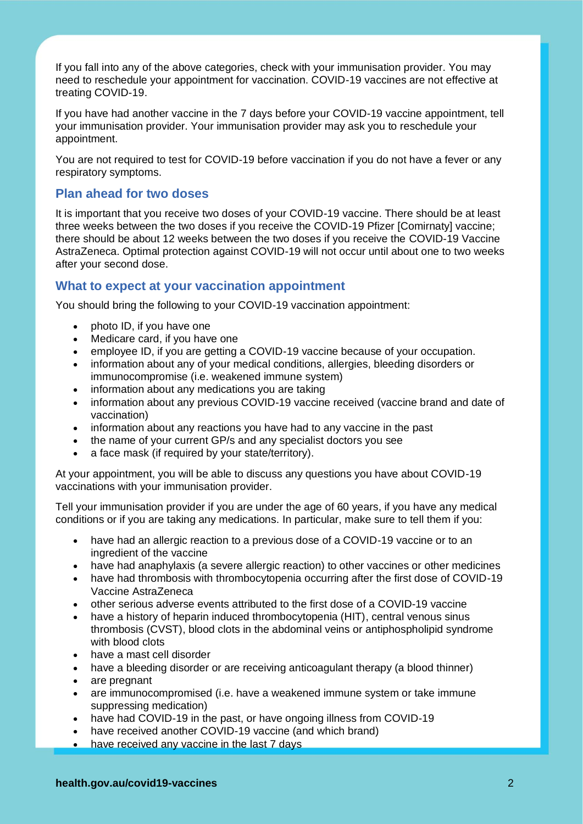If you fall into any of the above categories, check with your immunisation provider. You may need to reschedule your appointment for vaccination. COVID-19 vaccines are not effective at treating COVID-19.

If you have had another vaccine in the 7 days before your COVID-19 vaccine appointment, tell your immunisation provider. Your immunisation provider may ask you to reschedule your appointment.

You are not required to test for COVID-19 before vaccination if you do not have a fever or any respiratory symptoms.

## **Plan ahead for two doses**

It is important that you receive two doses of your COVID-19 vaccine. There should be at least three weeks between the two doses if you receive the COVID-19 Pfizer [Comirnaty] vaccine; there should be about 12 weeks between the two doses if you receive the COVID-19 Vaccine AstraZeneca. Optimal protection against COVID-19 will not occur until about one to two weeks after your second dose.

## **What to expect at your vaccination appointment**

You should bring the following to your COVID-19 vaccination appointment:

- photo ID, if you have one
- Medicare card, if you have one
- employee ID, if you are getting a COVID-19 vaccine because of your occupation.
- information about any of your medical conditions, allergies, bleeding disorders or immunocompromise (i.e. weakened immune system)
- information about any medications you are taking
- information about any previous COVID-19 vaccine received (vaccine brand and date of vaccination)
- information about any reactions you have had to any vaccine in the past
- the name of your current GP/s and any specialist doctors you see
- a face mask (if required by your state/territory).

At your appointment, you will be able to discuss any questions you have about COVID-19 vaccinations with your immunisation provider.

Tell your immunisation provider if you are under the age of 60 years, if you have any medical conditions or if you are taking any medications. In particular, make sure to tell them if you:

- have had an allergic reaction to a previous dose of a COVID-19 vaccine or to an ingredient of the vaccine
- have had anaphylaxis (a severe allergic reaction) to other vaccines or other medicines
- have had thrombosis with thrombocytopenia occurring after the first dose of COVID-19 Vaccine AstraZeneca
- other serious adverse events attributed to the first dose of a COVID-19 vaccine
- have a history of heparin induced thrombocytopenia (HIT), central venous sinus thrombosis (CVST), blood clots in the abdominal veins or antiphospholipid syndrome with blood clots
- have a mast cell disorder
- have a bleeding disorder or are receiving anticoagulant therapy (a blood thinner)
- are pregnant
- are immunocompromised (i.e. have a weakened immune system or take immune suppressing medication)
- have had COVID-19 in the past, or have ongoing illness from COVID-19
- have received another COVID-19 vaccine (and which brand)
- have received any vaccine in the last 7 days